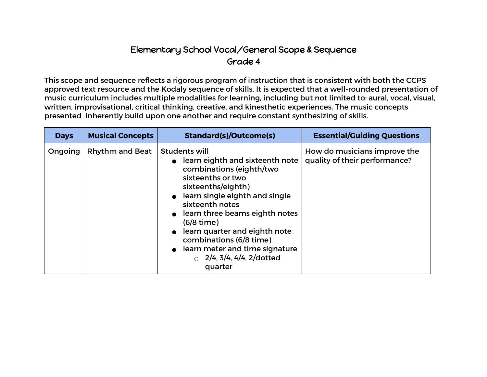## Elementary School Vocal/General Scope & Sequence Grade 4

This scope and sequence reflects a rigorous program of instruction that is consistent with both the CCPS approved text resource and the Kodaly sequence of skills. It is expected that a well-rounded presentation of music curriculum includes multiple modalities for learning, including but not limited to: aural, vocal, visual, written, improvisational, critical thinking, creative, and kinesthetic experiences. The music concepts presented inherently build upon one another and require constant synthesizing of skills.

| <b>Days</b> | <b>Musical Concepts</b> | <b>Standard(s)/Outcome(s)</b>                                                                                                                                                                                                                                                                                                                                                               | <b>Essential/Guiding Questions</b>                            |
|-------------|-------------------------|---------------------------------------------------------------------------------------------------------------------------------------------------------------------------------------------------------------------------------------------------------------------------------------------------------------------------------------------------------------------------------------------|---------------------------------------------------------------|
| Ongoing     | <b>Rhythm and Beat</b>  | <b>Students will</b><br>learn eighth and sixteenth note<br>combinations (eighth/two<br>sixteenths or two<br>sixteenths/eighth)<br>learn single eighth and single<br>sixteenth notes<br>• learn three beams eighth notes<br>$(6/8 \text{ time})$<br>learn quarter and eighth note<br>combinations (6/8 time)<br>learn meter and time signature<br>$\circ$ 2/4, 3/4, 4/4, 2/dotted<br>quarter | How do musicians improve the<br>quality of their performance? |